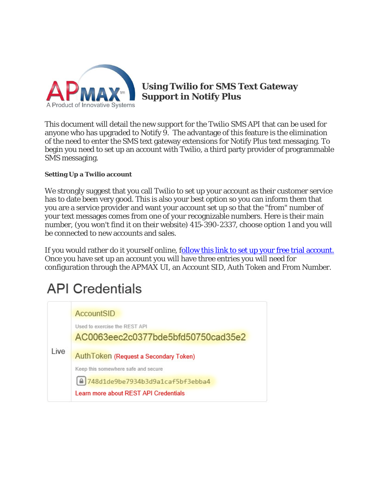

**Using Twilio for SMS Text Gateway Support in Notify Plus** 

This document will detail the new support for the Twilio SMS API that can be used for anyone who has upgraded to Notify 9. The advantage of this feature is the elimination of the need to enter the SMS text gateway extensions for Notify Plus text messaging. To begin you need to set up an account with Twilio, a third party provider of programmable SMS messaging.

## **Setting Up a Twilio account**

We strongly suggest that you call Twilio to set up your account as their customer service has to date been very good. This is also your best option so you can inform them that you are a service provider and want your account set up so that the "from" number of your text messages comes from one of your recognizable numbers. Here is their main number, (you won't find it on their website) 415-390-2337, choose option 1 and you will be connected to new accounts and sales.

If you would rather do it yourself online, follow this link to set up your free trial account. Once you have set up an account you will have three entries you will need for configuration through the APMAX UI, an Account SID, Auth Token and From Number.

## **API Credentials**

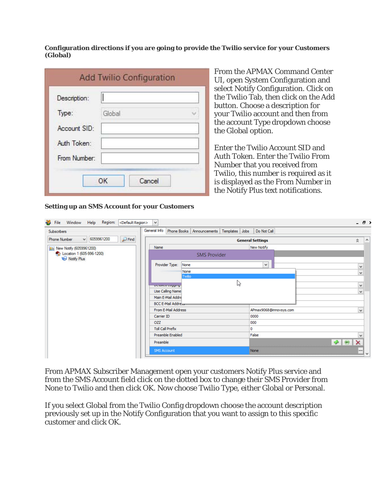**Configuration directions if you are going to provide the Twilio service for your Customers (Global)** 

| Description: |        |  |
|--------------|--------|--|
| Type:        | Global |  |
| Account SID: |        |  |
| Auth Token:  |        |  |
| From Number: |        |  |

From the APMAX Command Center UI, open System Configuration and select Notify Configuration. Click on the Twilio Tab, then click on the Add button. Choose a description for your Twilio account and then from the account Type dropdown choose the Global option.

Enter the Twilio Account SID and Auth Token. Enter the Twilio From Number that you received from Twilio, this number is required as it is displayed as the From Number in the Notify Plus text notifications.

| Subscribers                                                   | General Info Phone Books Announcements Templates Jobs |                     |              | Do Not Call             |                               |
|---------------------------------------------------------------|-------------------------------------------------------|---------------------|--------------|-------------------------|-------------------------------|
| $P$ Find<br>6059961200<br>$\checkmark$<br><b>Phone Number</b> |                                                       |                     |              | <b>General Settings</b> | $\land$<br>$\hat{\mathbf{x}}$ |
| <b>BE</b> New Notify (6059961200)                             | Name                                                  |                     |              | <b>New Notify</b>       |                               |
| Cocation 1 (605-996-1200)<br><b>B</b> Notify Plus             |                                                       | <b>SMS Provider</b> |              |                         |                               |
|                                                               | Provider Type:<br>None                                |                     |              | ٧                       | $\checkmark$                  |
|                                                               | None                                                  |                     |              |                         | $\checkmark$                  |
|                                                               | Twilio                                                |                     |              |                         |                               |
|                                                               | $\mathbb{Z}$<br>Detailed cogging                      |                     | $\checkmark$ |                         |                               |
|                                                               | Use Calling Name                                      |                     |              |                         | $\vee$                        |
|                                                               | Main E-Mail Addre                                     |                     |              |                         |                               |
|                                                               | <b>BCC E-Mail Address</b>                             |                     |              |                         |                               |
|                                                               | From E-Mail Address                                   |                     |              | APmax9068@innovsys.com  | $\checkmark$                  |
|                                                               | Carrier ID                                            |                     |              | 0000                    |                               |
|                                                               | OZZ                                                   |                     |              | 000                     |                               |
|                                                               | <b>Toll Call Prefix</b>                               |                     | o            |                         |                               |
|                                                               | Preamble Enabled                                      |                     |              | False                   | v                             |
|                                                               | Preamble                                              |                     |              |                         | x                             |
|                                                               | <b>SMS Account</b>                                    |                     |              | None                    | <br>$\checkmark$              |

From APMAX Subscriber Management open your customers Notify Plus service and from the SMS Account field click on the dotted box to change their SMS Provider from None to Twilio and then click OK. Now choose Twilio Type, either Global or Personal.

If you select Global from the Twilio Config dropdown choose the account description previously set up in the Notify Configuration that you want to assign to this specific customer and click OK.

## **Setting up an SMS Account for your Customers**